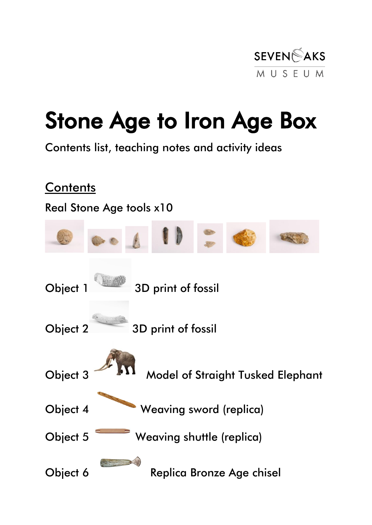

### Stone Age to Iron Age Box

Contents list, teaching notes and activity ideas

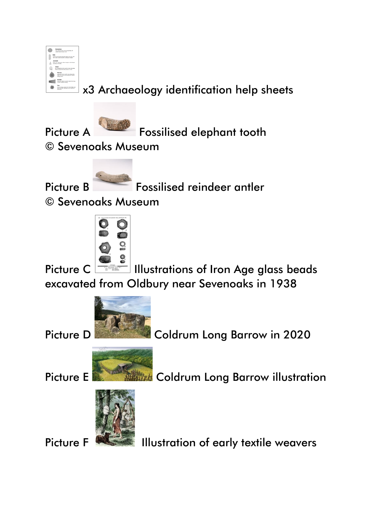|                                                                                                                    | <b>Hammershire</b><br>Nord, splashod stone coad to break fiskes off<br>analise more to styles a trust                               |
|--------------------------------------------------------------------------------------------------------------------|-------------------------------------------------------------------------------------------------------------------------------------|
|                                                                                                                    | Long, this test, sharp olong both sides or just one, used<br>the a bolls tituady owners or rectangular showed.                      |
| Amouthead<br>Small with a sharp point, althar triangular or last shaped.<br>sometimes with basis.                  |                                                                                                                                     |
| <b>Scrape</b><br>For involved tool with you thin show noter wine.<br>Used to serves animal skins, because to send. |                                                                                                                                     |
|                                                                                                                    | <b>Hand one</b><br>large bud. But but not him, large share at the<br>held and, sharest at the pointed and, Used in<br>a tiny maker. |
|                                                                                                                    | <b>Aug Send</b><br>large had. Rather at you and. Stand with a hong-<br>results hards by shing                                       |
|                                                                                                                    | Curs.<br>Church of shows, someon those where flates have<br>been study off it. The finitest wants weekend with<br>shore books.      |
|                                                                                                                    |                                                                                                                                     |

x3 Archaeology identification help sheets



Picture A Fossilised elephant tooth

© Sevenoaks Museum



Picture B Fossilised reindeer antler

© Sevenoaks Museum



Picture C ILLUStrations of Iron Age glass beads excavated from Oldbury near Sevenoaks in 1938









Picture F **ILLUST AND I**llustration of early textile weavers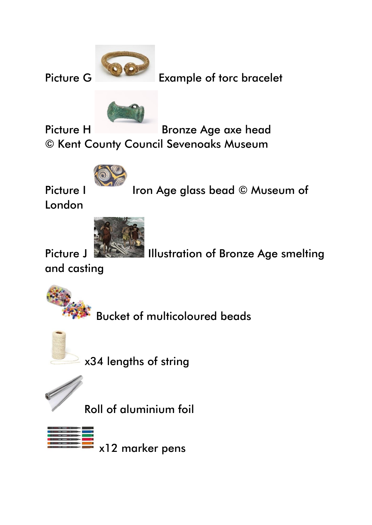Picture G Example of torc bracelet



Picture H Bronze Age axe head © Kent County Council Sevenoaks Museum



Picture I Iron Age glass bead © Museum of

London



Picture J **ILLUST III** Illustration of Bronze Age smelting

and casting



Bucket of multicoloured beads

![](_page_2_Picture_12.jpeg)

x34 lengths of string

![](_page_2_Picture_14.jpeg)

Roll of aluminium foil

x12 marker pens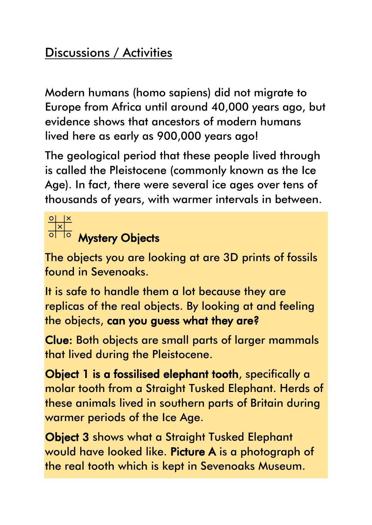### Discussions / Activities

Modern humans (homo sapiens) did not migrate to Europe from Africa until around 40,000 years ago, but evidence shows that ancestors of modern humans lived here as early as 900,000 years ago!

The geological period that these people lived through is called the Pleistocene (commonly known as the Ice Age). In fact, there were several ice ages over tens of thousands of years, with warmer intervals in between.

# $\frac{\frac{1}{\sqrt{2}}}{\frac{1}{\sqrt{2}}}}$  Mystery Objects

The objects you are looking at are 3D prints of fossils found in Sevenoaks.

It is safe to handle them a lot because they are replicas of the real objects. By looking at and feeling the objects, can you guess what they are?

Clue: Both objects are small parts of larger mammals that lived during the Pleistocene.

Object 1 is a fossilised elephant tooth, specifically a molar tooth from a Straight Tusked Elephant. Herds of these animals lived in southern parts of Britain during warmer periods of the Ice Age.

Object 3 shows what a Straight Tusked Elephant would have looked like. Picture A is a photograph of the real tooth which is kept in Sevenoaks Museum.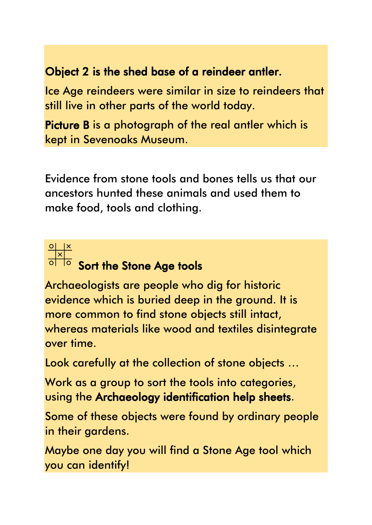#### Object 2 is the shed base of a reindeer antler.

Ice Age reindeers were similar in size to reindeers that still live in other parts of the world today.

Picture B is a photograph of the real antler which is kept in Sevenoaks Museum.

Evidence from stone tools and bones tells us that our ancestors hunted these animals and used them to make food, tools and clothing.

![](_page_4_Picture_4.jpeg)

## $\frac{\circ}{\circ}$   $\frac{x}{\circ}$ <br>Sort the Stone Age tools

Archaeologists are people who dig for historic evidence which is buried deep in the ground. It is more common to find stone objects still intact, whereas materials like wood and textiles disintegrate over time.

Look carefully at the collection of stone objects …

Work as a group to sort the tools into categories, using the Archaeology identification help sheets.

Some of these objects were found by ordinary people in their gardens.

Maybe one day you will find a Stone Age tool which you can identify!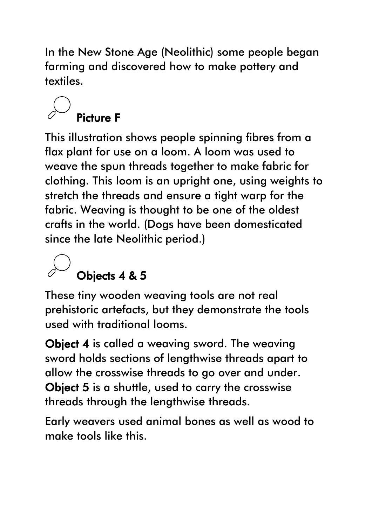In the New Stone Age (Neolithic) some people began farming and discovered how to make pottery and textiles.

### Picture F

This illustration shows people spinning fibres from a flax plant for use on a loom. A loom was used to weave the spun threads together to make fabric for clothing. This loom is an upright one, using weights to stretch the threads and ensure a tight warp for the fabric. Weaving is thought to be one of the oldest crafts in the world. (Dogs have been domesticated since the late Neolithic period.)

### Objects 4 & 5

These tiny wooden weaving tools are not real prehistoric artefacts, but they demonstrate the tools used with traditional looms.

**Object 4** is called a weaving sword. The weaving sword holds sections of lengthwise threads apart to allow the crosswise threads to go over and under. Object 5 is a shuttle, used to carry the crosswise threads through the lengthwise threads.

Early weavers used animal bones as well as wood to make tools like this.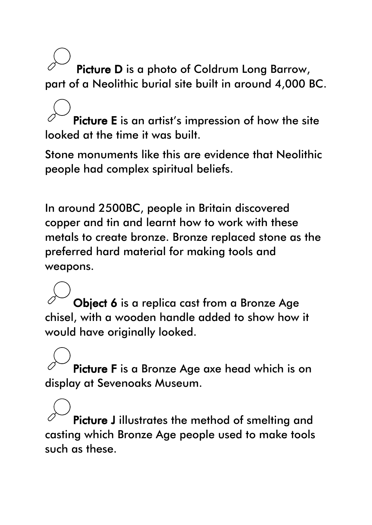Picture D is a photo of Coldrum Long Barrow, part of a Neolithic burial site built in around 4,000 BC.

Picture E is an artist's impression of how the site looked at the time it was built.

Stone monuments like this are evidence that Neolithic people had complex spiritual beliefs.

In around 2500BC, people in Britain discovered copper and tin and learnt how to work with these metals to create bronze. Bronze replaced stone as the preferred hard material for making tools and weapons.

Object 6 is a replica cast from a Bronze Age chisel, with a wooden handle added to show how it would have originally looked.

Picture F is a Bronze Age axe head which is on display at Sevenoaks Museum.

Picture J illustrates the method of smelting and casting which Bronze Age people used to make tools such as these.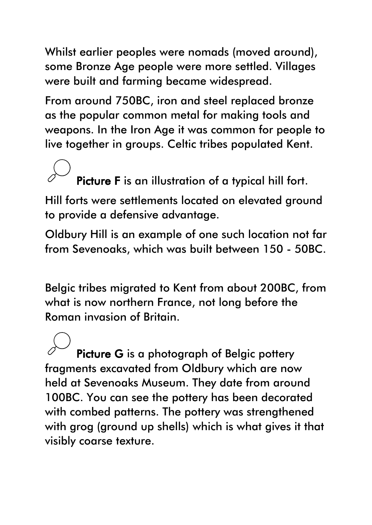Whilst earlier peoples were nomads (moved around), some Bronze Age people were more settled. Villages were built and farming became widespread.

From around 750BC, iron and steel replaced bronze as the popular common metal for making tools and weapons. In the Iron Age it was common for people to live together in groups. Celtic tribes populated Kent.

### Picture F is an illustration of a typical hill fort.

Hill forts were settlements located on elevated ground to provide a defensive advantage.

Oldbury Hill is an example of one such location not far from Sevenoaks, which was built between 150 - 50BC.

Belgic tribes migrated to Kent from about 200BC, from what is now northern France, not long before the Roman invasion of Britain.

Picture G is a photograph of Belgic pottery fragments excavated from Oldbury which are now held at Sevenoaks Museum. They date from around 100BC. You can see the pottery has been decorated with combed patterns. The pottery was strengthened with grog (ground up shells) which is what gives it that visibly coarse texture.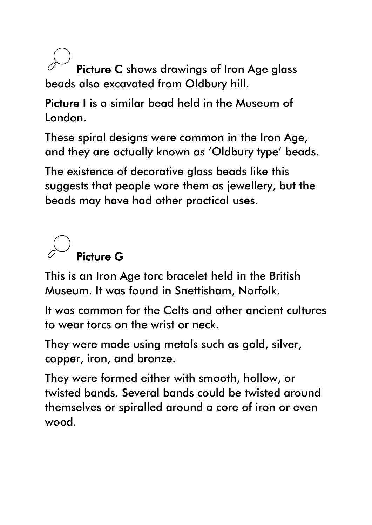Picture C shows drawings of Iron Age glass beads also excavated from Oldbury hill.

Picture I is a similar bead held in the Museum of London.

These spiral designs were common in the Iron Age, and they are actually known as 'Oldbury type' beads.

The existence of decorative glass beads like this suggests that people wore them as jewellery, but the beads may have had other practical uses.

![](_page_8_Picture_4.jpeg)

This is an Iron Age torc bracelet held in the British Museum. It was found in Snettisham, Norfolk.

It was common for the Celts and other ancient cultures to wear torcs on the wrist or neck.

They were made using metals such as gold, silver, copper, iron, and bronze.

They were formed either with smooth, hollow, or twisted bands. Several bands could be twisted around themselves or spiralled around a core of iron or even wood.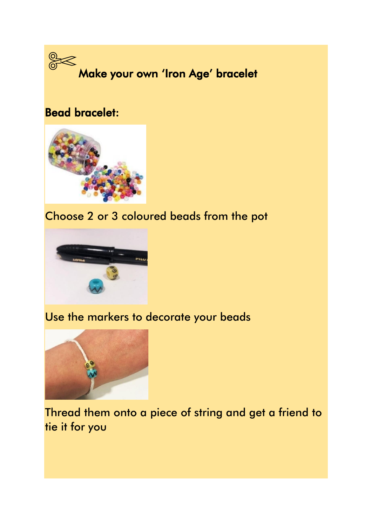![](_page_9_Picture_0.jpeg)

### Bead bracelet:

![](_page_9_Picture_2.jpeg)

### Choose 2 or 3 coloured beads from the pot

![](_page_9_Picture_4.jpeg)

#### Use the markers to decorate your beads

![](_page_9_Picture_6.jpeg)

Thread them onto a piece of string and get a friend to tie it for you